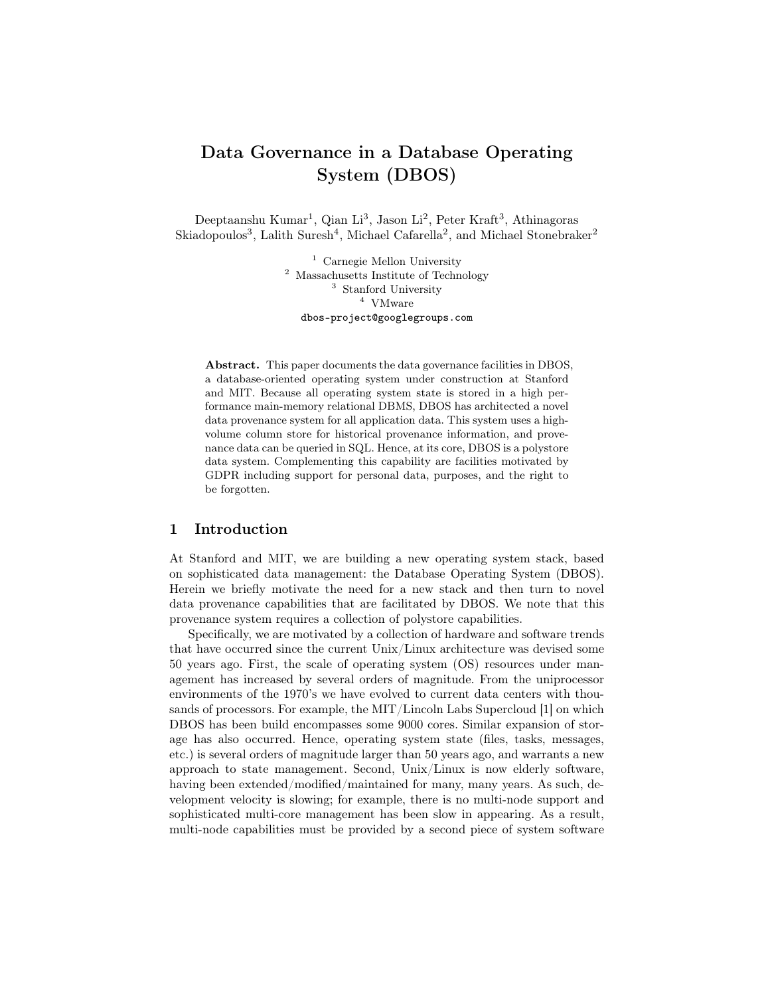# Data Governance in a Database Operating System (DBOS)

Deeptaanshu Kumar<sup>1</sup>, Qian Li<sup>3</sup>, Jason Li<sup>2</sup>, Peter Kraft<sup>3</sup>, Athinagoras Skiadopoulos<sup>3</sup>, Lalith Suresh<sup>4</sup>, Michael Cafarella<sup>2</sup>, and Michael Stonebraker<sup>2</sup>

> <sup>1</sup> Carnegie Mellon University <sup>2</sup> Massachusetts Institute of Technology <sup>3</sup> Stanford University <sup>4</sup> VMware dbos-project@googlegroups.com

Abstract. This paper documents the data governance facilities in DBOS, a database-oriented operating system under construction at Stanford and MIT. Because all operating system state is stored in a high performance main-memory relational DBMS, DBOS has architected a novel data provenance system for all application data. This system uses a highvolume column store for historical provenance information, and provenance data can be queried in SQL. Hence, at its core, DBOS is a polystore data system. Complementing this capability are facilities motivated by GDPR including support for personal data, purposes, and the right to be forgotten.

# 1 Introduction

At Stanford and MIT, we are building a new operating system stack, based on sophisticated data management: the Database Operating System (DBOS). Herein we briefly motivate the need for a new stack and then turn to novel data provenance capabilities that are facilitated by DBOS. We note that this provenance system requires a collection of polystore capabilities.

Specifically, we are motivated by a collection of hardware and software trends that have occurred since the current Unix/Linux architecture was devised some 50 years ago. First, the scale of operating system (OS) resources under management has increased by several orders of magnitude. From the uniprocessor environments of the 1970's we have evolved to current data centers with thousands of processors. For example, the MIT/Lincoln Labs Supercloud [1] on which DBOS has been build encompasses some 9000 cores. Similar expansion of storage has also occurred. Hence, operating system state (files, tasks, messages, etc.) is several orders of magnitude larger than 50 years ago, and warrants a new approach to state management. Second, Unix/Linux is now elderly software, having been extended/modified/maintained for many, many years. As such, development velocity is slowing; for example, there is no multi-node support and sophisticated multi-core management has been slow in appearing. As a result, multi-node capabilities must be provided by a second piece of system software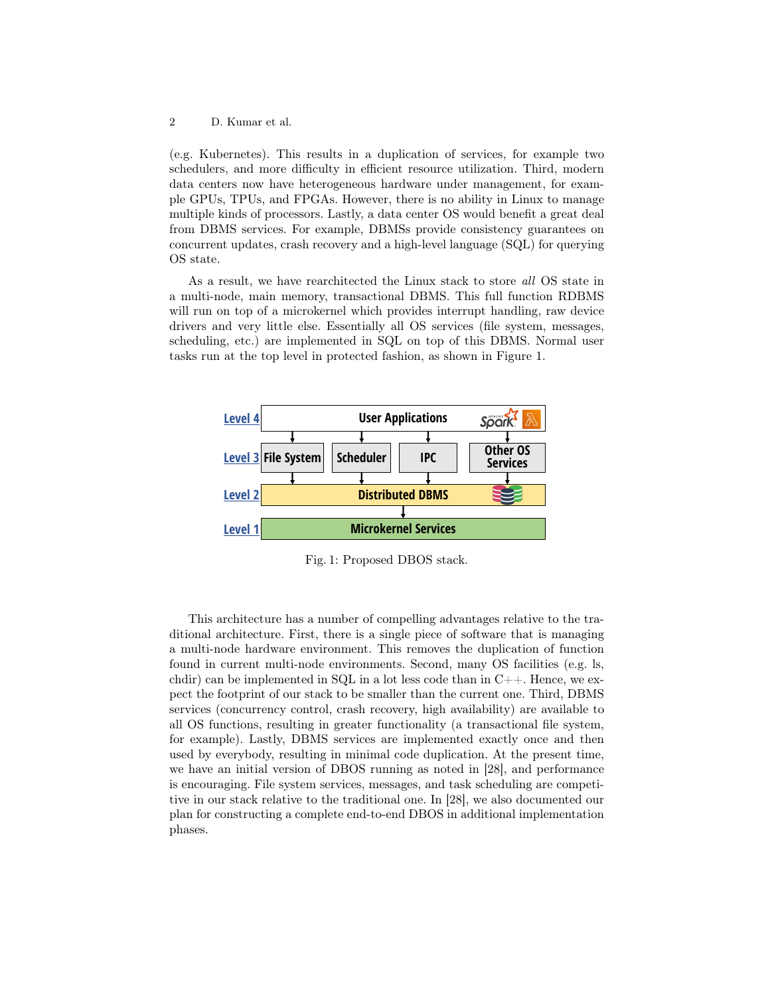(e.g. Kubernetes). This results in a duplication of services, for example two schedulers, and more difficulty in efficient resource utilization. Third, modern data centers now have heterogeneous hardware under management, for example GPUs, TPUs, and FPGAs. However, there is no ability in Linux to manage multiple kinds of processors. Lastly, a data center OS would benefit a great deal from DBMS services. For example, DBMSs provide consistency guarantees on concurrent updates, crash recovery and a high-level language (SQL) for querying OS state.

As a result, we have rearchitected the Linux stack to store all OS state in a multi-node, main memory, transactional DBMS. This full function RDBMS will run on top of a microkernel which provides interrupt handling, raw device drivers and very little else. Essentially all OS services (file system, messages, scheduling, etc.) are implemented in SQL on top of this DBMS. Normal user tasks run at the top level in protected fashion, as shown in Figure 1.



Fig. 1: Proposed DBOS stack.

This architecture has a number of compelling advantages relative to the traditional architecture. First, there is a single piece of software that is managing a multi-node hardware environment. This removes the duplication of function found in current multi-node environments. Second, many OS facilities (e.g. ls, chdir) can be implemented in SQL in a lot less code than in  $C_{++}$ . Hence, we expect the footprint of our stack to be smaller than the current one. Third, DBMS services (concurrency control, crash recovery, high availability) are available to all OS functions, resulting in greater functionality (a transactional file system, for example). Lastly, DBMS services are implemented exactly once and then used by everybody, resulting in minimal code duplication. At the present time, we have an initial version of DBOS running as noted in [28], and performance is encouraging. File system services, messages, and task scheduling are competitive in our stack relative to the traditional one. In [28], we also documented our plan for constructing a complete end-to-end DBOS in additional implementation phases.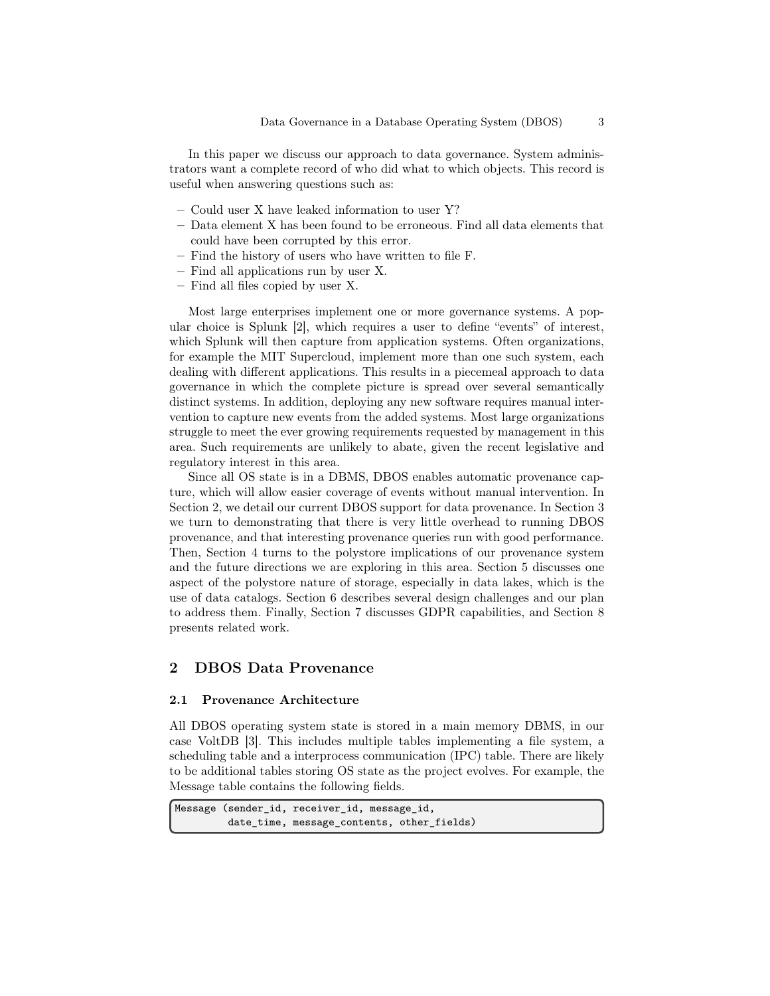In this paper we discuss our approach to data governance. System administrators want a complete record of who did what to which objects. This record is useful when answering questions such as:

- Could user X have leaked information to user Y?
- Data element X has been found to be erroneous. Find all data elements that could have been corrupted by this error.
- Find the history of users who have written to file F.
- Find all applications run by user X.
- Find all files copied by user X.

Most large enterprises implement one or more governance systems. A popular choice is Splunk [2], which requires a user to define "events" of interest, which Splunk will then capture from application systems. Often organizations, for example the MIT Supercloud, implement more than one such system, each dealing with different applications. This results in a piecemeal approach to data governance in which the complete picture is spread over several semantically distinct systems. In addition, deploying any new software requires manual intervention to capture new events from the added systems. Most large organizations struggle to meet the ever growing requirements requested by management in this area. Such requirements are unlikely to abate, given the recent legislative and regulatory interest in this area.

Since all OS state is in a DBMS, DBOS enables automatic provenance capture, which will allow easier coverage of events without manual intervention. In Section 2, we detail our current DBOS support for data provenance. In Section 3 we turn to demonstrating that there is very little overhead to running DBOS provenance, and that interesting provenance queries run with good performance. Then, Section 4 turns to the polystore implications of our provenance system and the future directions we are exploring in this area. Section 5 discusses one aspect of the polystore nature of storage, especially in data lakes, which is the use of data catalogs. Section 6 describes several design challenges and our plan to address them. Finally, Section 7 discusses GDPR capabilities, and Section 8 presents related work.

# 2 DBOS Data Provenance

### 2.1 Provenance Architecture

All DBOS operating system state is stored in a main memory DBMS, in our case VoltDB [3]. This includes multiple tables implementing a file system, a scheduling table and a interprocess communication (IPC) table. There are likely to be additional tables storing OS state as the project evolves. For example, the Message table contains the following fields.

```
Message (sender_id, receiver_id, message_id,
        date_time, message_contents, other_fields)
```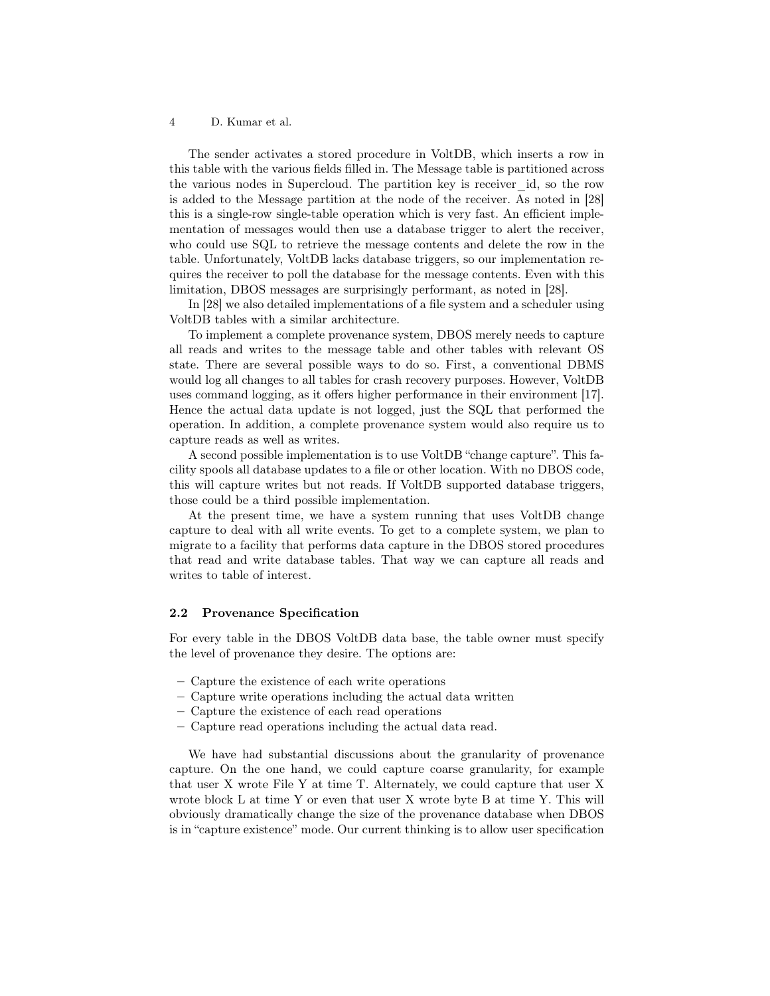The sender activates a stored procedure in VoltDB, which inserts a row in this table with the various fields filled in. The Message table is partitioned across the various nodes in Supercloud. The partition key is receiver\_id, so the row is added to the Message partition at the node of the receiver. As noted in [28] this is a single-row single-table operation which is very fast. An efficient implementation of messages would then use a database trigger to alert the receiver, who could use SQL to retrieve the message contents and delete the row in the table. Unfortunately, VoltDB lacks database triggers, so our implementation requires the receiver to poll the database for the message contents. Even with this limitation, DBOS messages are surprisingly performant, as noted in [28].

In [28] we also detailed implementations of a file system and a scheduler using VoltDB tables with a similar architecture.

To implement a complete provenance system, DBOS merely needs to capture all reads and writes to the message table and other tables with relevant OS state. There are several possible ways to do so. First, a conventional DBMS would log all changes to all tables for crash recovery purposes. However, VoltDB uses command logging, as it offers higher performance in their environment [17]. Hence the actual data update is not logged, just the SQL that performed the operation. In addition, a complete provenance system would also require us to capture reads as well as writes.

A second possible implementation is to use VoltDB "change capture". This facility spools all database updates to a file or other location. With no DBOS code, this will capture writes but not reads. If VoltDB supported database triggers, those could be a third possible implementation.

At the present time, we have a system running that uses VoltDB change capture to deal with all write events. To get to a complete system, we plan to migrate to a facility that performs data capture in the DBOS stored procedures that read and write database tables. That way we can capture all reads and writes to table of interest.

#### 2.2 Provenance Specification

For every table in the DBOS VoltDB data base, the table owner must specify the level of provenance they desire. The options are:

- Capture the existence of each write operations
- Capture write operations including the actual data written
- Capture the existence of each read operations
- Capture read operations including the actual data read.

We have had substantial discussions about the granularity of provenance capture. On the one hand, we could capture coarse granularity, for example that user X wrote File Y at time T. Alternately, we could capture that user X wrote block L at time Y or even that user X wrote byte B at time Y. This will obviously dramatically change the size of the provenance database when DBOS is in "capture existence" mode. Our current thinking is to allow user specification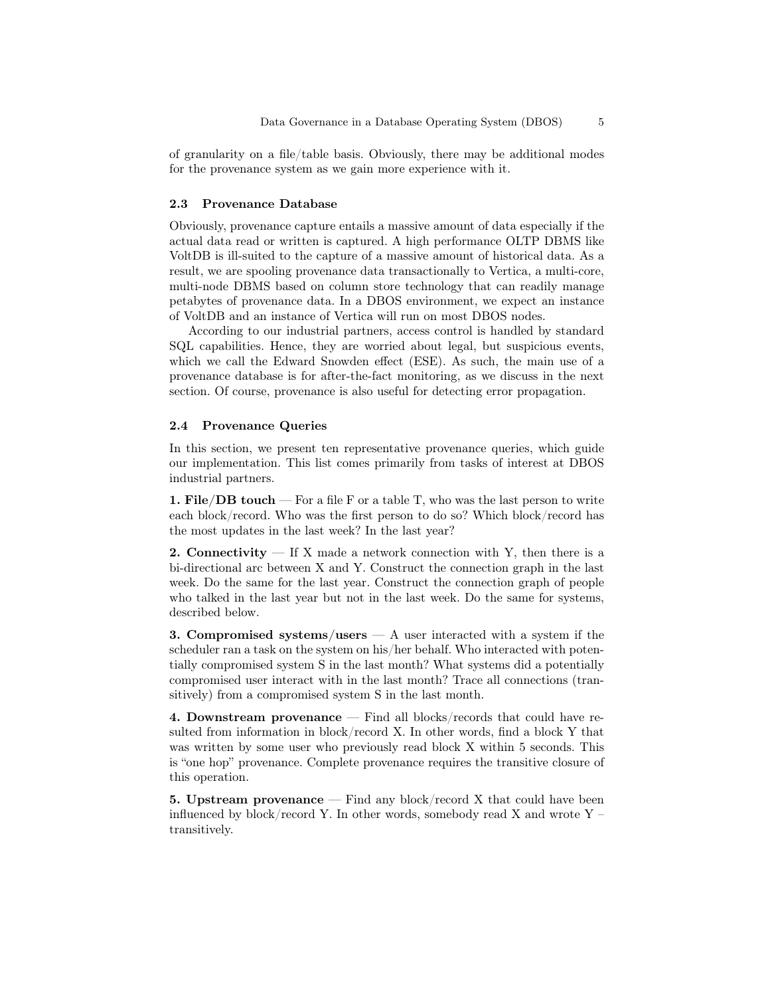of granularity on a file/table basis. Obviously, there may be additional modes for the provenance system as we gain more experience with it.

#### 2.3 Provenance Database

Obviously, provenance capture entails a massive amount of data especially if the actual data read or written is captured. A high performance OLTP DBMS like VoltDB is ill-suited to the capture of a massive amount of historical data. As a result, we are spooling provenance data transactionally to Vertica, a multi-core, multi-node DBMS based on column store technology that can readily manage petabytes of provenance data. In a DBOS environment, we expect an instance of VoltDB and an instance of Vertica will run on most DBOS nodes.

According to our industrial partners, access control is handled by standard SQL capabilities. Hence, they are worried about legal, but suspicious events, which we call the Edward Snowden effect (ESE). As such, the main use of a provenance database is for after-the-fact monitoring, as we discuss in the next section. Of course, provenance is also useful for detecting error propagation.

### 2.4 Provenance Queries

In this section, we present ten representative provenance queries, which guide our implementation. This list comes primarily from tasks of interest at DBOS industrial partners.

1. File/DB touch — For a file F or a table T, who was the last person to write each block/record. Who was the first person to do so? Which block/record has the most updates in the last week? In the last year?

**2. Connectivity**  $\overline{a}$  If X made a network connection with Y, then there is a bi-directional arc between X and Y. Construct the connection graph in the last week. Do the same for the last year. Construct the connection graph of people who talked in the last year but not in the last week. Do the same for systems, described below.

3. Compromised systems/users — A user interacted with a system if the scheduler ran a task on the system on his/her behalf. Who interacted with potentially compromised system S in the last month? What systems did a potentially compromised user interact with in the last month? Trace all connections (transitively) from a compromised system S in the last month.

4. Downstream provenance — Find all blocks/records that could have resulted from information in block/record X. In other words, find a block Y that was written by some user who previously read block X within 5 seconds. This is "one hop" provenance. Complete provenance requires the transitive closure of this operation.

**5. Upstream provenance** — Find any block/record X that could have been influenced by block/record Y. In other words, somebody read X and wrote  $Y$  – transitively.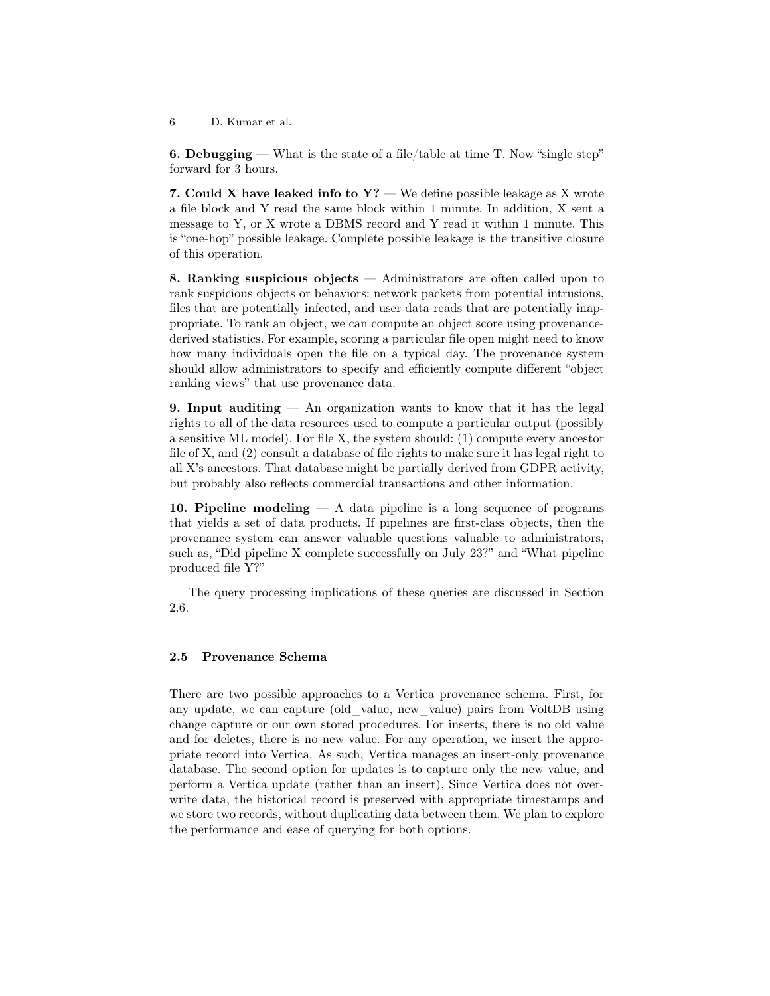**6. Debugging** — What is the state of a file/table at time  $T$ . Now "single step" forward for 3 hours.

7. Could X have leaked info to  $Y$ ? — We define possible leakage as X wrote a file block and Y read the same block within 1 minute. In addition, X sent a message to Y, or X wrote a DBMS record and Y read it within 1 minute. This is "one-hop" possible leakage. Complete possible leakage is the transitive closure of this operation.

8. Ranking suspicious objects — Administrators are often called upon to rank suspicious objects or behaviors: network packets from potential intrusions, files that are potentially infected, and user data reads that are potentially inappropriate. To rank an object, we can compute an object score using provenancederived statistics. For example, scoring a particular file open might need to know how many individuals open the file on a typical day. The provenance system should allow administrators to specify and efficiently compute different "object ranking views" that use provenance data.

**9. Input auditing**  $-$  An organization wants to know that it has the legal rights to all of the data resources used to compute a particular output (possibly a sensitive ML model). For file X, the system should: (1) compute every ancestor file of X, and (2) consult a database of file rights to make sure it has legal right to all X's ancestors. That database might be partially derived from GDPR activity, but probably also reflects commercial transactions and other information.

10. Pipeline modeling  $- A$  data pipeline is a long sequence of programs that yields a set of data products. If pipelines are first-class objects, then the provenance system can answer valuable questions valuable to administrators, such as, "Did pipeline X complete successfully on July 23?" and "What pipeline produced file Y?"

The query processing implications of these queries are discussed in Section 2.6.

# 2.5 Provenance Schema

There are two possible approaches to a Vertica provenance schema. First, for any update, we can capture (old\_value, new\_value) pairs from VoltDB using change capture or our own stored procedures. For inserts, there is no old value and for deletes, there is no new value. For any operation, we insert the appropriate record into Vertica. As such, Vertica manages an insert-only provenance database. The second option for updates is to capture only the new value, and perform a Vertica update (rather than an insert). Since Vertica does not overwrite data, the historical record is preserved with appropriate timestamps and we store two records, without duplicating data between them. We plan to explore the performance and ease of querying for both options.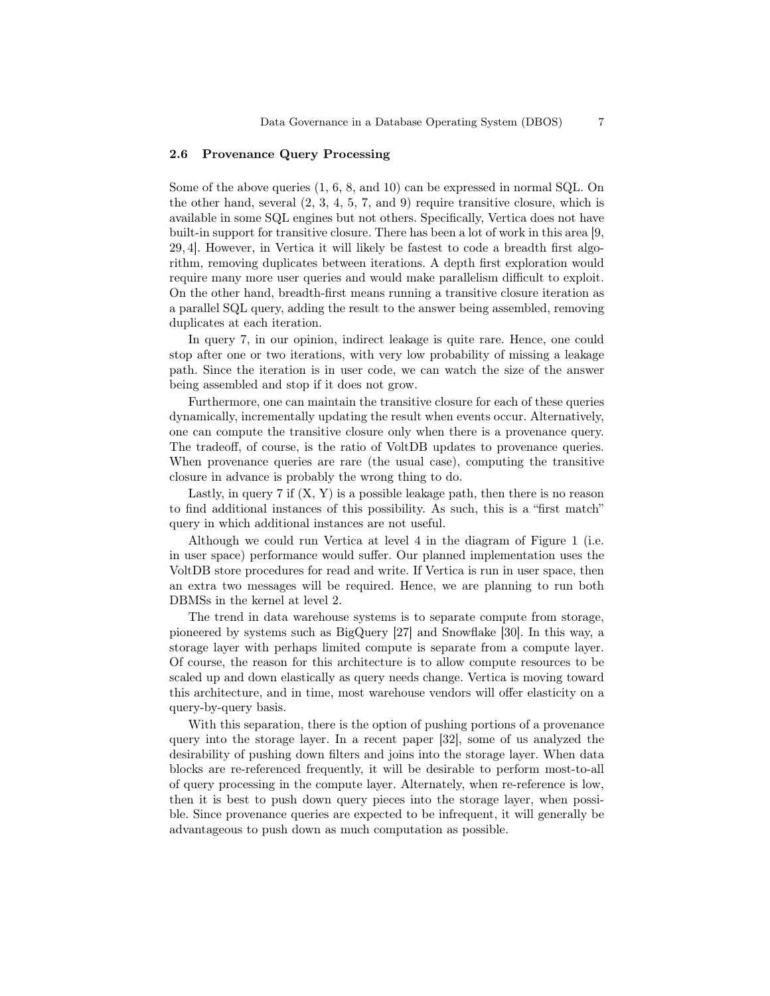### 2.6 Provenance Query Processing

Some of the above queries (1, 6, 8, and 10) can be expressed in normal SQL. On the other hand, several  $(2, 3, 4, 5, 7, \text{ and } 9)$  require transitive closure, which is available in some SQL engines but not others. Specifically, Vertica does not have built-in support for transitive closure. There has been a lot of work in this area [9, 29, 4]. However, in Vertica it will likely be fastest to code a breadth first algorithm, removing duplicates between iterations. A depth first exploration would require many more user queries and would make parallelism difficult to exploit. On the other hand, breadth-first means running a transitive closure iteration as a parallel SQL query, adding the result to the answer being assembled, removing duplicates at each iteration.

In query 7, in our opinion, indirect leakage is quite rare. Hence, one could stop after one or two iterations, with very low probability of missing a leakage path. Since the iteration is in user code, we can watch the size of the answer being assembled and stop if it does not grow.

Furthermore, one can maintain the transitive closure for each of these queries dynamically, incrementally updating the result when events occur. Alternatively, one can compute the transitive closure only when there is a provenance query. The tradeoff, of course, is the ratio of VoltDB updates to provenance queries. When provenance queries are rare (the usual case), computing the transitive closure in advance is probably the wrong thing to do.

Lastly, in query  $7$  if  $(X, Y)$  is a possible leakage path, then there is no reason to find additional instances of this possibility. As such, this is a "first match" query in which additional instances are not useful.

Although we could run Vertica at level 4 in the diagram of Figure 1 (i.e. in user space) performance would suffer. Our planned implementation uses the VoltDB store procedures for read and write. If Vertica is run in user space, then an extra two messages will be required. Hence, we are planning to run both DBMSs in the kernel at level 2.

The trend in data warehouse systems is to separate compute from storage, pioneered by systems such as BigQuery [27] and Snowflake [30]. In this way, a storage layer with perhaps limited compute is separate from a compute layer. Of course, the reason for this architecture is to allow compute resources to be scaled up and down elastically as query needs change. Vertica is moving toward this architecture, and in time, most warehouse vendors will offer elasticity on a query-by-query basis.

With this separation, there is the option of pushing portions of a provenance query into the storage layer. In a recent paper [32], some of us analyzed the desirability of pushing down filters and joins into the storage layer. When data blocks are re-referenced frequently, it will be desirable to perform most-to-all of query processing in the compute layer. Alternately, when re-reference is low, then it is best to push down query pieces into the storage layer, when possible. Since provenance queries are expected to be infrequent, it will generally be advantageous to push down as much computation as possible.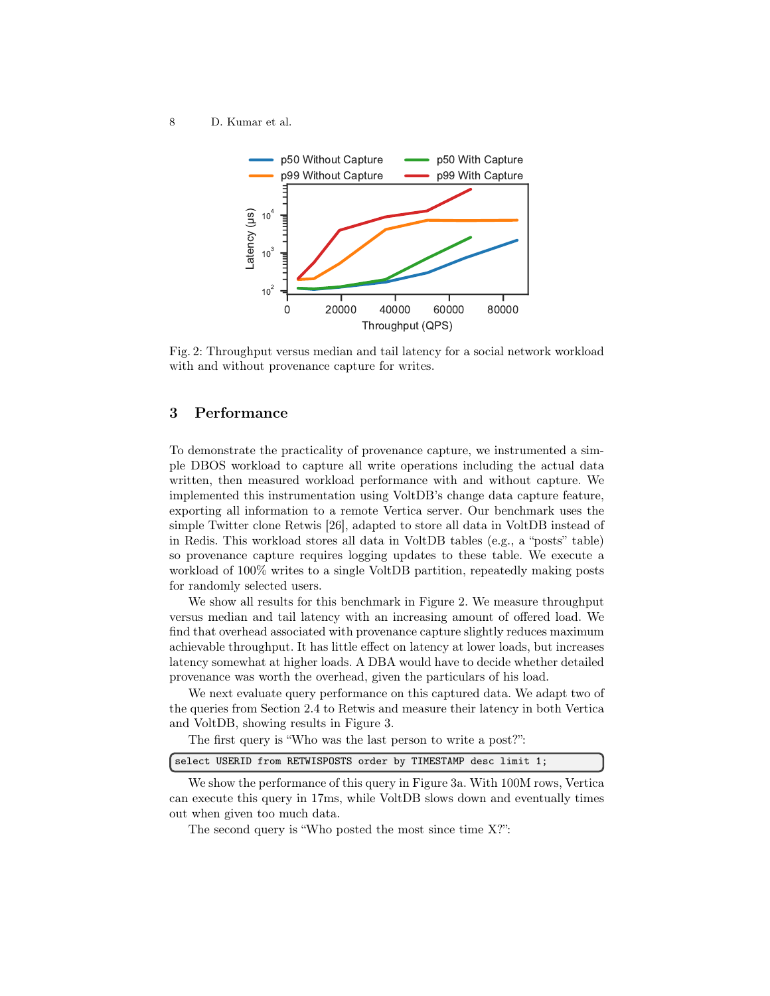8 D. Kumar et al.



Fig. 2: Throughput versus median and tail latency for a social network workload with and without provenance capture for writes.

# 3 Performance

To demonstrate the practicality of provenance capture, we instrumented a simple DBOS workload to capture all write operations including the actual data written, then measured workload performance with and without capture. We implemented this instrumentation using VoltDB's change data capture feature, exporting all information to a remote Vertica server. Our benchmark uses the simple Twitter clone Retwis [26], adapted to store all data in VoltDB instead of in Redis. This workload stores all data in VoltDB tables (e.g., a "posts" table) so provenance capture requires logging updates to these table. We execute a workload of 100% writes to a single VoltDB partition, repeatedly making posts for randomly selected users.

We show all results for this benchmark in Figure 2. We measure throughput versus median and tail latency with an increasing amount of offered load. We find that overhead associated with provenance capture slightly reduces maximum achievable throughput. It has little effect on latency at lower loads, but increases latency somewhat at higher loads. A DBA would have to decide whether detailed provenance was worth the overhead, given the particulars of his load.

We next evaluate query performance on this captured data. We adapt two of the queries from Section 2.4 to Retwis and measure their latency in both Vertica and VoltDB, showing results in Figure 3.

The first query is "Who was the last person to write a post?":

|  |  |  | select USERID from RETWISPOSTS order by TIMESTAMP desc limit 1; |  |  |  |  |  |  |  |
|--|--|--|-----------------------------------------------------------------|--|--|--|--|--|--|--|
|--|--|--|-----------------------------------------------------------------|--|--|--|--|--|--|--|

We show the performance of this query in Figure 3a. With 100M rows, Vertica can execute this query in 17ms, while VoltDB slows down and eventually times out when given too much data.

The second query is "Who posted the most since time X?":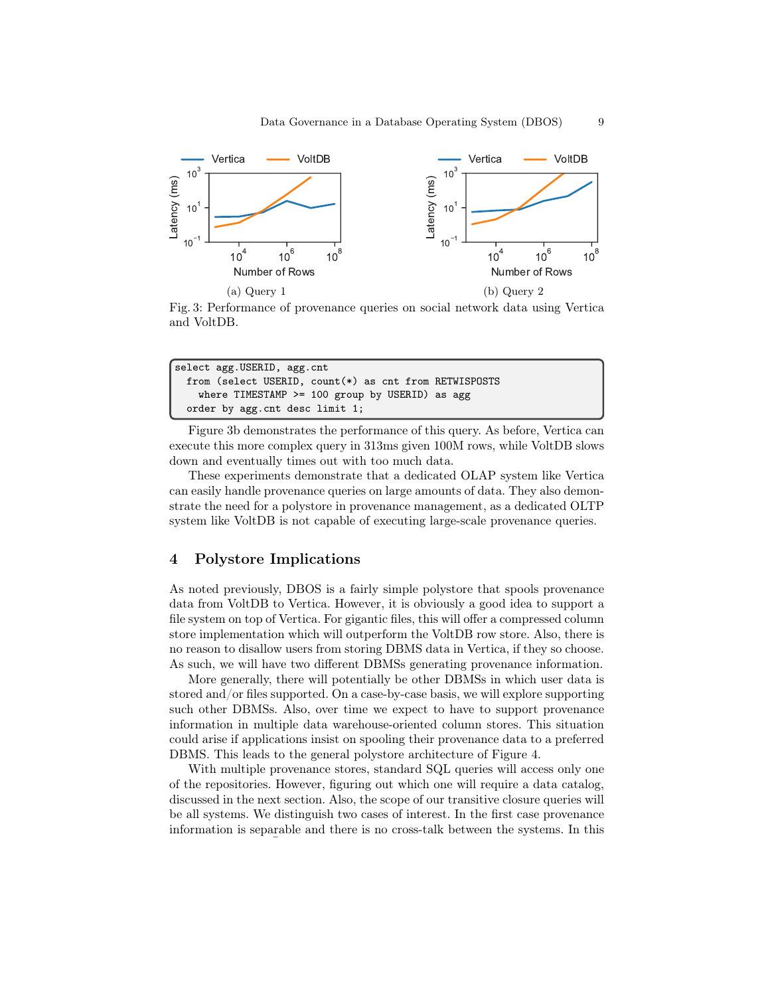

Fig. 3: Performance of provenance queries on social network data using Vertica and VoltDB.

```
select agg. USERID, agg. cnt
from (select USERID, count(*) as cnt from RETWISPOSTS
   where TIMESTAMP >= 100 group by USERID) as agg
order by agg.cnt desc limit 1;
```
Figure 3b demonstrates the performance of this query. As before, Vertica can execute this more complex query in 313ms given 100M rows, while VoltDB slows down and eventually times out with too much data.

These experiments demonstrate that a dedicated OLAP system like Vertica can easily handle provenance queries on large amounts of data. They also demonstrate the need for a polystore in provenance management, as a dedicated OLTP system like VoltDB is not capable of executing large-scale provenance queries.

# 4 Polystore Implications

As noted previously, DBOS is a fairly simple polystore that spools provenance data from VoltDB to Vertica. However, it is obviously a good idea to support a file system on top of Vertica. For gigantic files, this will offer a compressed column store implementation which will outperform the VoltDB row store. Also, there is no reason to disallow users from storing DBMS data in Vertica, if they so choose. As such, we will have two different DBMSs generating provenance information.

More generally, there will potentially be other DBMSs in which user data is stored and/or files supported. On a case-by-case basis, we will explore supporting such other DBMSs. Also, over time we expect to have to support provenance information in multiple data warehouse-oriented column stores. This situation could arise if applications insist on spooling their provenance data to a preferred DBMS. This leads to the general polystore architecture of Figure 4.

With multiple provenance stores, standard SQL queries will access only one of the repositories. However, figuring out which one will require a data catalog, discussed in the next section. Also, the scope of our transitive closure queries will be all systems. We distinguish two cases of interest. In the first case provenance information is separable and there is no cross-talk between the systems. In this¯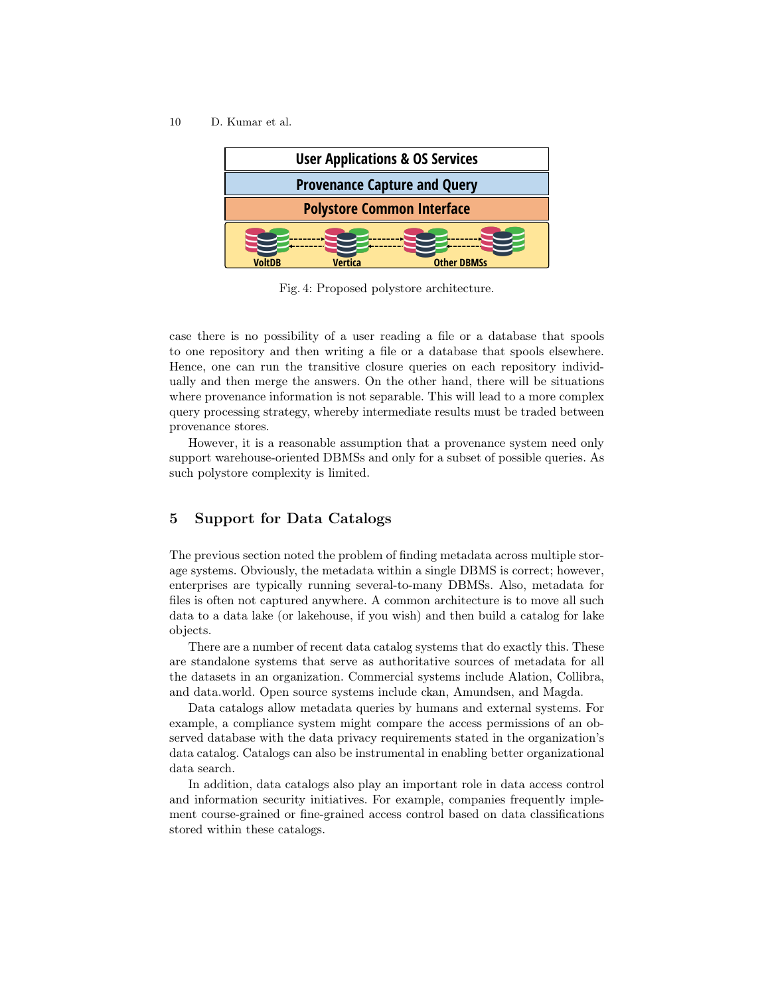

Fig. 4: Proposed polystore architecture.

case there is no possibility of a user reading a file or a database that spools to one repository and then writing a file or a database that spools elsewhere. Hence, one can run the transitive closure queries on each repository individually and then merge the answers. On the other hand, there will be situations where provenance information is not separable. This will lead to a more complex query processing strategy, whereby intermediate results must be traded between provenance stores.

However, it is a reasonable assumption that a provenance system need only support warehouse-oriented DBMSs and only for a subset of possible queries. As such polystore complexity is limited.

# 5 Support for Data Catalogs

The previous section noted the problem of finding metadata across multiple storage systems. Obviously, the metadata within a single DBMS is correct; however, enterprises are typically running several-to-many DBMSs. Also, metadata for files is often not captured anywhere. A common architecture is to move all such data to a data lake (or lakehouse, if you wish) and then build a catalog for lake objects.

There are a number of recent data catalog systems that do exactly this. These are standalone systems that serve as authoritative sources of metadata for all the datasets in an organization. Commercial systems include Alation, Collibra, and data.world. Open source systems include ckan, Amundsen, and Magda.

Data catalogs allow metadata queries by humans and external systems. For example, a compliance system might compare the access permissions of an observed database with the data privacy requirements stated in the organization's data catalog. Catalogs can also be instrumental in enabling better organizational data search.

In addition, data catalogs also play an important role in data access control and information security initiatives. For example, companies frequently implement course-grained or fine-grained access control based on data classifications stored within these catalogs.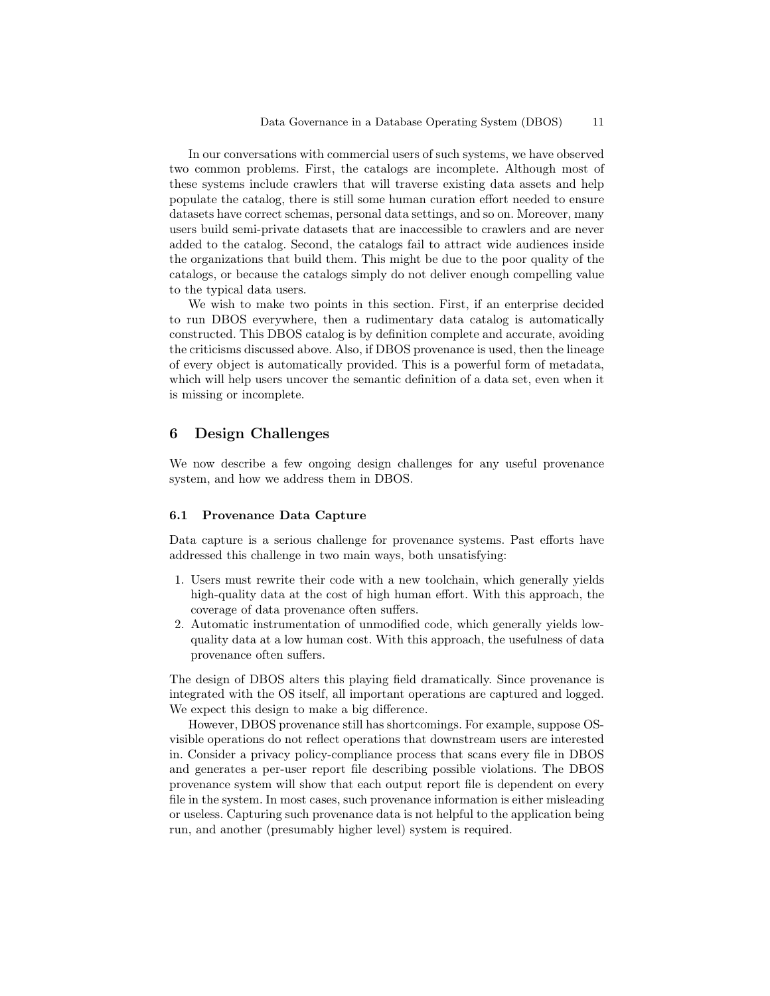In our conversations with commercial users of such systems, we have observed two common problems. First, the catalogs are incomplete. Although most of these systems include crawlers that will traverse existing data assets and help populate the catalog, there is still some human curation effort needed to ensure datasets have correct schemas, personal data settings, and so on. Moreover, many users build semi-private datasets that are inaccessible to crawlers and are never added to the catalog. Second, the catalogs fail to attract wide audiences inside the organizations that build them. This might be due to the poor quality of the catalogs, or because the catalogs simply do not deliver enough compelling value to the typical data users.

We wish to make two points in this section. First, if an enterprise decided to run DBOS everywhere, then a rudimentary data catalog is automatically constructed. This DBOS catalog is by definition complete and accurate, avoiding the criticisms discussed above. Also, if DBOS provenance is used, then the lineage of every object is automatically provided. This is a powerful form of metadata, which will help users uncover the semantic definition of a data set, even when it is missing or incomplete.

# 6 Design Challenges

We now describe a few ongoing design challenges for any useful provenance system, and how we address them in DBOS.

### 6.1 Provenance Data Capture

Data capture is a serious challenge for provenance systems. Past efforts have addressed this challenge in two main ways, both unsatisfying:

- 1. Users must rewrite their code with a new toolchain, which generally yields high-quality data at the cost of high human effort. With this approach, the coverage of data provenance often suffers.
- 2. Automatic instrumentation of unmodified code, which generally yields lowquality data at a low human cost. With this approach, the usefulness of data provenance often suffers.

The design of DBOS alters this playing field dramatically. Since provenance is integrated with the OS itself, all important operations are captured and logged. We expect this design to make a big difference.

However, DBOS provenance still has shortcomings. For example, suppose OSvisible operations do not reflect operations that downstream users are interested in. Consider a privacy policy-compliance process that scans every file in DBOS and generates a per-user report file describing possible violations. The DBOS provenance system will show that each output report file is dependent on every file in the system. In most cases, such provenance information is either misleading or useless. Capturing such provenance data is not helpful to the application being run, and another (presumably higher level) system is required.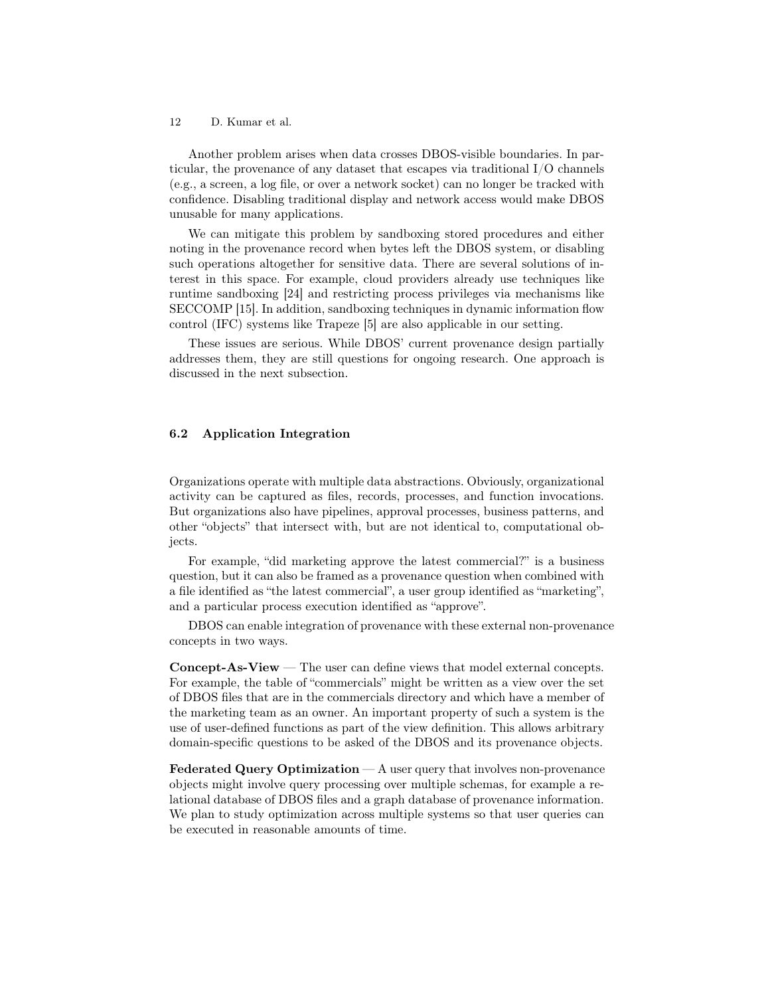Another problem arises when data crosses DBOS-visible boundaries. In particular, the provenance of any dataset that escapes via traditional I/O channels (e.g., a screen, a log file, or over a network socket) can no longer be tracked with confidence. Disabling traditional display and network access would make DBOS unusable for many applications.

We can mitigate this problem by sandboxing stored procedures and either noting in the provenance record when bytes left the DBOS system, or disabling such operations altogether for sensitive data. There are several solutions of interest in this space. For example, cloud providers already use techniques like runtime sandboxing [24] and restricting process privileges via mechanisms like SECCOMP [15]. In addition, sandboxing techniques in dynamic information flow control (IFC) systems like Trapeze [5] are also applicable in our setting.

These issues are serious. While DBOS' current provenance design partially addresses them, they are still questions for ongoing research. One approach is discussed in the next subsection.

# 6.2 Application Integration

Organizations operate with multiple data abstractions. Obviously, organizational activity can be captured as files, records, processes, and function invocations. But organizations also have pipelines, approval processes, business patterns, and other "objects" that intersect with, but are not identical to, computational objects.

For example, "did marketing approve the latest commercial?" is a business question, but it can also be framed as a provenance question when combined with a file identified as "the latest commercial", a user group identified as "marketing", and a particular process execution identified as "approve".

DBOS can enable integration of provenance with these external non-provenance concepts in two ways.

Concept-As-View — The user can define views that model external concepts. For example, the table of "commercials" might be written as a view over the set of DBOS files that are in the commercials directory and which have a member of the marketing team as an owner. An important property of such a system is the use of user-defined functions as part of the view definition. This allows arbitrary domain-specific questions to be asked of the DBOS and its provenance objects.

Federated Query Optimization — A user query that involves non-provenance objects might involve query processing over multiple schemas, for example a relational database of DBOS files and a graph database of provenance information. We plan to study optimization across multiple systems so that user queries can be executed in reasonable amounts of time.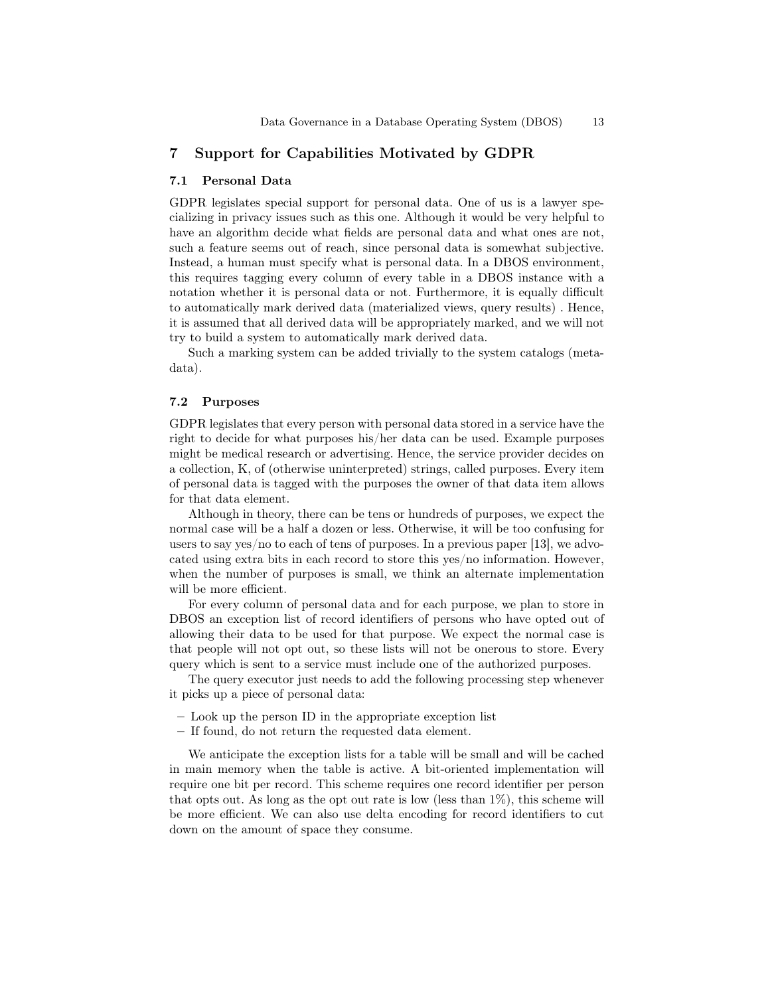# 7 Support for Capabilities Motivated by GDPR

### 7.1 Personal Data

GDPR legislates special support for personal data. One of us is a lawyer specializing in privacy issues such as this one. Although it would be very helpful to have an algorithm decide what fields are personal data and what ones are not, such a feature seems out of reach, since personal data is somewhat subjective. Instead, a human must specify what is personal data. In a DBOS environment, this requires tagging every column of every table in a DBOS instance with a notation whether it is personal data or not. Furthermore, it is equally difficult to automatically mark derived data (materialized views, query results) . Hence, it is assumed that all derived data will be appropriately marked, and we will not try to build a system to automatically mark derived data.

Such a marking system can be added trivially to the system catalogs (metadata).

# 7.2 Purposes

GDPR legislates that every person with personal data stored in a service have the right to decide for what purposes his/her data can be used. Example purposes might be medical research or advertising. Hence, the service provider decides on a collection, K, of (otherwise uninterpreted) strings, called purposes. Every item of personal data is tagged with the purposes the owner of that data item allows for that data element.

Although in theory, there can be tens or hundreds of purposes, we expect the normal case will be a half a dozen or less. Otherwise, it will be too confusing for users to say yes/no to each of tens of purposes. In a previous paper [13], we advocated using extra bits in each record to store this yes/no information. However, when the number of purposes is small, we think an alternate implementation will be more efficient.

For every column of personal data and for each purpose, we plan to store in DBOS an exception list of record identifiers of persons who have opted out of allowing their data to be used for that purpose. We expect the normal case is that people will not opt out, so these lists will not be onerous to store. Every query which is sent to a service must include one of the authorized purposes.

The query executor just needs to add the following processing step whenever it picks up a piece of personal data:

- Look up the person ID in the appropriate exception list
- If found, do not return the requested data element.

We anticipate the exception lists for a table will be small and will be cached in main memory when the table is active. A bit-oriented implementation will require one bit per record. This scheme requires one record identifier per person that opts out. As long as the opt out rate is low (less than  $1\%$ ), this scheme will be more efficient. We can also use delta encoding for record identifiers to cut down on the amount of space they consume.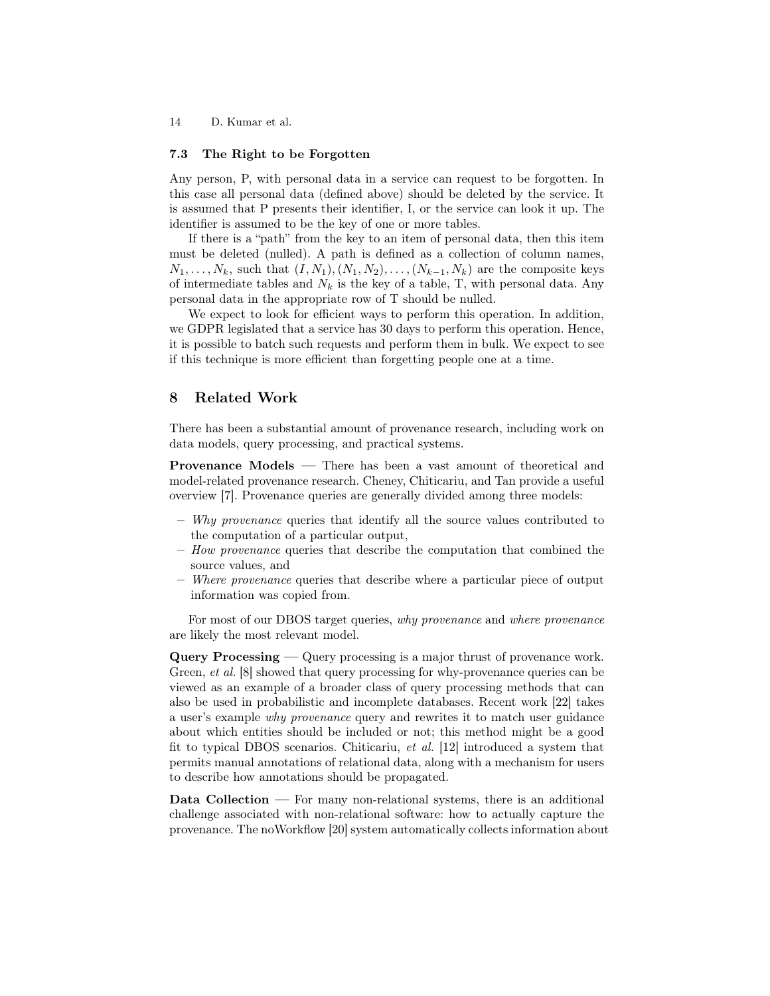#### 7.3 The Right to be Forgotten

Any person, P, with personal data in a service can request to be forgotten. In this case all personal data (defined above) should be deleted by the service. It is assumed that P presents their identifier, I, or the service can look it up. The identifier is assumed to be the key of one or more tables.

If there is a "path" from the key to an item of personal data, then this item must be deleted (nulled). A path is defined as a collection of column names,  $N_1, \ldots, N_k$ , such that  $(I, N_1), (N_1, N_2), \ldots, (N_{k-1}, N_k)$  are the composite keys of intermediate tables and  $N_k$  is the key of a table, T, with personal data. Any personal data in the appropriate row of T should be nulled.

We expect to look for efficient ways to perform this operation. In addition, we GDPR legislated that a service has 30 days to perform this operation. Hence, it is possible to batch such requests and perform them in bulk. We expect to see if this technique is more efficient than forgetting people one at a time.

# 8 Related Work

There has been a substantial amount of provenance research, including work on data models, query processing, and practical systems.

Provenance Models — There has been a vast amount of theoretical and model-related provenance research. Cheney, Chiticariu, and Tan provide a useful overview [7]. Provenance queries are generally divided among three models:

- Why provenance queries that identify all the source values contributed to the computation of a particular output,
- How provenance queries that describe the computation that combined the source values, and
- Where provenance queries that describe where a particular piece of output information was copied from.

For most of our DBOS target queries, why provenance and where provenance are likely the most relevant model.

Query Processing — Query processing is a major thrust of provenance work. Green, *et al.* [8] showed that query processing for why-provenance queries can be viewed as an example of a broader class of query processing methods that can also be used in probabilistic and incomplete databases. Recent work [22] takes a user's example why provenance query and rewrites it to match user guidance about which entities should be included or not; this method might be a good fit to typical DBOS scenarios. Chiticariu, et al. [12] introduced a system that permits manual annotations of relational data, along with a mechanism for users to describe how annotations should be propagated.

Data Collection — For many non-relational systems, there is an additional challenge associated with non-relational software: how to actually capture the provenance. The noWorkflow [20] system automatically collects information about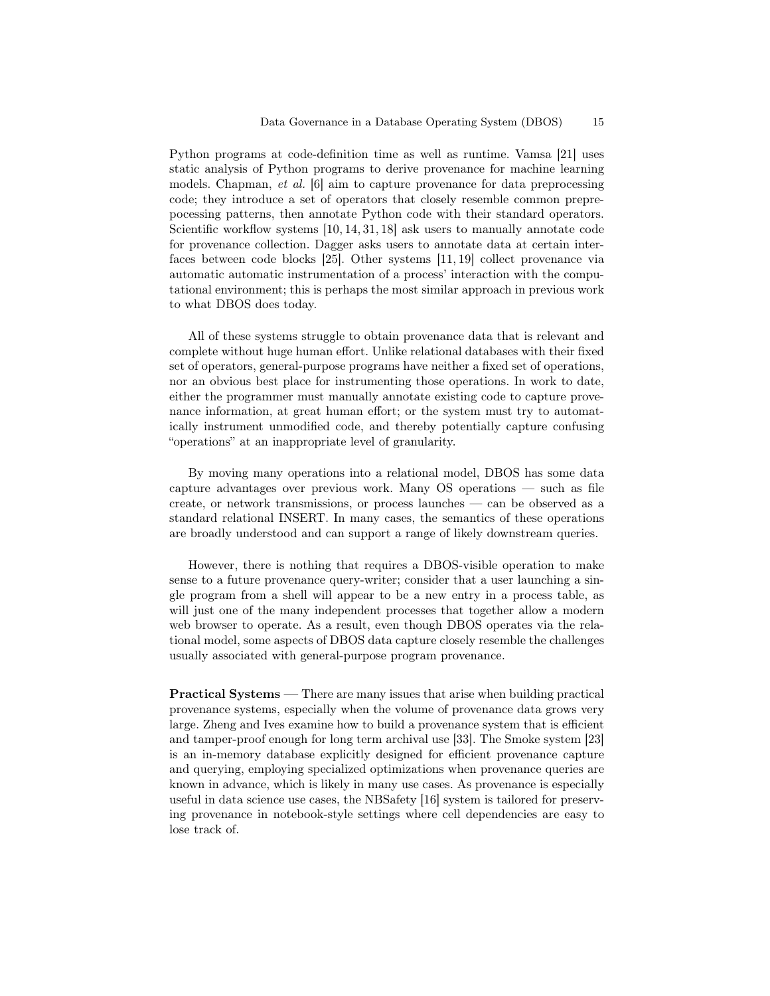Python programs at code-definition time as well as runtime. Vamsa [21] uses static analysis of Python programs to derive provenance for machine learning models. Chapman, et al. [6] aim to capture provenance for data preprocessing code; they introduce a set of operators that closely resemble common preprepocessing patterns, then annotate Python code with their standard operators. Scientific workflow systems [10, 14, 31, 18] ask users to manually annotate code for provenance collection. Dagger asks users to annotate data at certain interfaces between code blocks [25]. Other systems [11, 19] collect provenance via automatic automatic instrumentation of a process' interaction with the computational environment; this is perhaps the most similar approach in previous work to what DBOS does today.

All of these systems struggle to obtain provenance data that is relevant and complete without huge human effort. Unlike relational databases with their fixed set of operators, general-purpose programs have neither a fixed set of operations, nor an obvious best place for instrumenting those operations. In work to date, either the programmer must manually annotate existing code to capture provenance information, at great human effort; or the system must try to automatically instrument unmodified code, and thereby potentially capture confusing "operations" at an inappropriate level of granularity.

By moving many operations into a relational model, DBOS has some data capture advantages over previous work. Many OS operations — such as file create, or network transmissions, or process launches — can be observed as a standard relational INSERT. In many cases, the semantics of these operations are broadly understood and can support a range of likely downstream queries.

However, there is nothing that requires a DBOS-visible operation to make sense to a future provenance query-writer; consider that a user launching a single program from a shell will appear to be a new entry in a process table, as will just one of the many independent processes that together allow a modern web browser to operate. As a result, even though DBOS operates via the relational model, some aspects of DBOS data capture closely resemble the challenges usually associated with general-purpose program provenance.

Practical Systems — There are many issues that arise when building practical provenance systems, especially when the volume of provenance data grows very large. Zheng and Ives examine how to build a provenance system that is efficient and tamper-proof enough for long term archival use [33]. The Smoke system [23] is an in-memory database explicitly designed for efficient provenance capture and querying, employing specialized optimizations when provenance queries are known in advance, which is likely in many use cases. As provenance is especially useful in data science use cases, the NBSafety [16] system is tailored for preserving provenance in notebook-style settings where cell dependencies are easy to lose track of.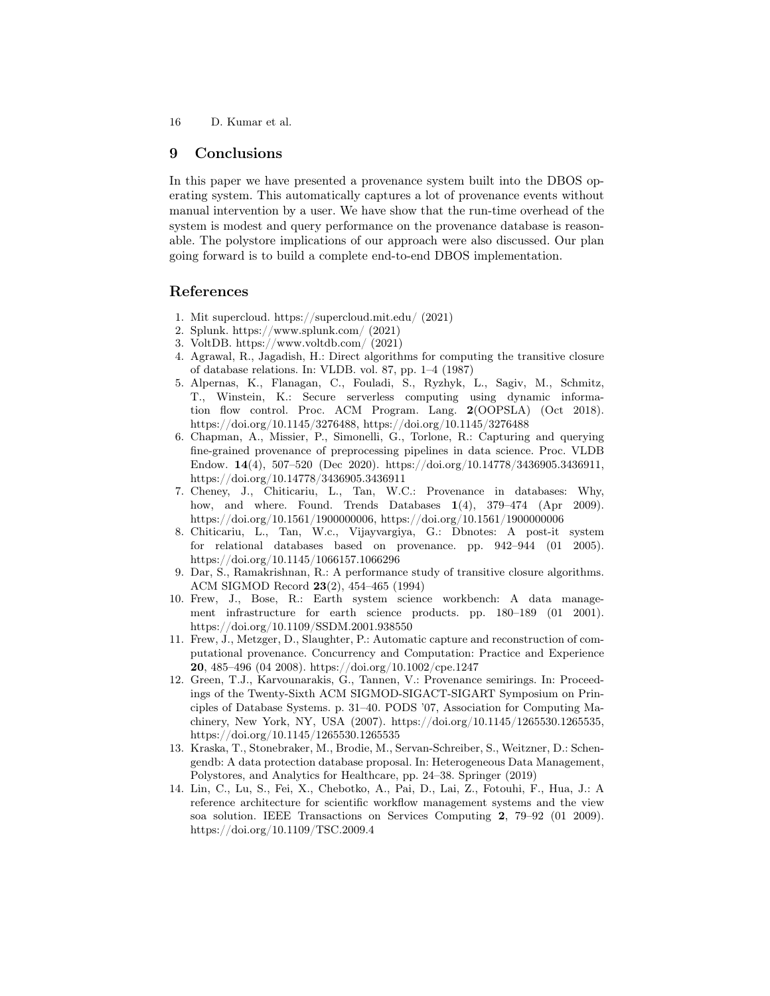# 9 Conclusions

In this paper we have presented a provenance system built into the DBOS operating system. This automatically captures a lot of provenance events without manual intervention by a user. We have show that the run-time overhead of the system is modest and query performance on the provenance database is reasonable. The polystore implications of our approach were also discussed. Our plan going forward is to build a complete end-to-end DBOS implementation.

# References

- 1. Mit supercloud. https://supercloud.mit.edu/ (2021)
- 2. Splunk. https://www.splunk.com/ (2021)
- 3. VoltDB. https://www.voltdb.com/ (2021)
- 4. Agrawal, R., Jagadish, H.: Direct algorithms for computing the transitive closure of database relations. In: VLDB. vol. 87, pp. 1–4 (1987)
- 5. Alpernas, K., Flanagan, C., Fouladi, S., Ryzhyk, L., Sagiv, M., Schmitz, T., Winstein, K.: Secure serverless computing using dynamic information flow control. Proc. ACM Program. Lang. 2(OOPSLA) (Oct 2018). https://doi.org/10.1145/3276488, https://doi.org/10.1145/3276488
- 6. Chapman, A., Missier, P., Simonelli, G., Torlone, R.: Capturing and querying fine-grained provenance of preprocessing pipelines in data science. Proc. VLDB Endow. 14(4), 507–520 (Dec 2020). https://doi.org/10.14778/3436905.3436911, https://doi.org/10.14778/3436905.3436911
- 7. Cheney, J., Chiticariu, L., Tan, W.C.: Provenance in databases: Why, how, and where. Found. Trends Databases  $1(4)$ , 379-474 (Apr 2009). https://doi.org/10.1561/1900000006, https://doi.org/10.1561/1900000006
- 8. Chiticariu, L., Tan, W.c., Vijayvargiya, G.: Dbnotes: A post-it system for relational databases based on provenance. pp. 942–944 (01 2005). https://doi.org/10.1145/1066157.1066296
- 9. Dar, S., Ramakrishnan, R.: A performance study of transitive closure algorithms. ACM SIGMOD Record 23(2), 454–465 (1994)
- 10. Frew, J., Bose, R.: Earth system science workbench: A data management infrastructure for earth science products. pp. 180–189 (01 2001). https://doi.org/10.1109/SSDM.2001.938550
- 11. Frew, J., Metzger, D., Slaughter, P.: Automatic capture and reconstruction of computational provenance. Concurrency and Computation: Practice and Experience 20, 485–496 (04 2008). https://doi.org/10.1002/cpe.1247
- 12. Green, T.J., Karvounarakis, G., Tannen, V.: Provenance semirings. In: Proceedings of the Twenty-Sixth ACM SIGMOD-SIGACT-SIGART Symposium on Principles of Database Systems. p. 31–40. PODS '07, Association for Computing Machinery, New York, NY, USA (2007). https://doi.org/10.1145/1265530.1265535, https://doi.org/10.1145/1265530.1265535
- 13. Kraska, T., Stonebraker, M., Brodie, M., Servan-Schreiber, S., Weitzner, D.: Schengendb: A data protection database proposal. In: Heterogeneous Data Management, Polystores, and Analytics for Healthcare, pp. 24–38. Springer (2019)
- 14. Lin, C., Lu, S., Fei, X., Chebotko, A., Pai, D., Lai, Z., Fotouhi, F., Hua, J.: A reference architecture for scientific workflow management systems and the view soa solution. IEEE Transactions on Services Computing 2, 79–92 (01 2009). https://doi.org/10.1109/TSC.2009.4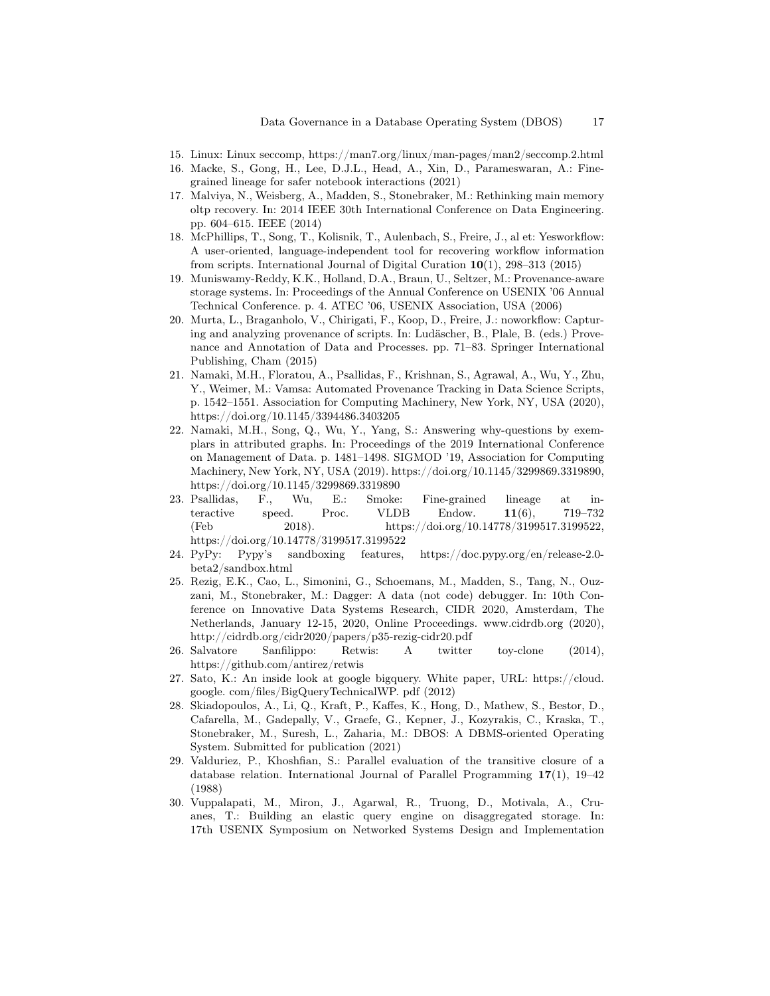- 15. Linux: Linux seccomp, https://man7.org/linux/man-pages/man2/seccomp.2.html
- 16. Macke, S., Gong, H., Lee, D.J.L., Head, A., Xin, D., Parameswaran, A.: Finegrained lineage for safer notebook interactions (2021)
- 17. Malviya, N., Weisberg, A., Madden, S., Stonebraker, M.: Rethinking main memory oltp recovery. In: 2014 IEEE 30th International Conference on Data Engineering. pp. 604–615. IEEE (2014)
- 18. McPhillips, T., Song, T., Kolisnik, T., Aulenbach, S., Freire, J., al et: Yesworkflow: A user-oriented, language-independent tool for recovering workflow information from scripts. International Journal of Digital Curation 10(1), 298–313 (2015)
- 19. Muniswamy-Reddy, K.K., Holland, D.A., Braun, U., Seltzer, M.: Provenance-aware storage systems. In: Proceedings of the Annual Conference on USENIX '06 Annual Technical Conference. p. 4. ATEC '06, USENIX Association, USA (2006)
- 20. Murta, L., Braganholo, V., Chirigati, F., Koop, D., Freire, J.: noworkflow: Capturing and analyzing provenance of scripts. In: Ludäscher, B., Plale, B. (eds.) Provenance and Annotation of Data and Processes. pp. 71–83. Springer International Publishing, Cham (2015)
- 21. Namaki, M.H., Floratou, A., Psallidas, F., Krishnan, S., Agrawal, A., Wu, Y., Zhu, Y., Weimer, M.: Vamsa: Automated Provenance Tracking in Data Science Scripts, p. 1542–1551. Association for Computing Machinery, New York, NY, USA (2020), https://doi.org/10.1145/3394486.3403205
- 22. Namaki, M.H., Song, Q., Wu, Y., Yang, S.: Answering why-questions by exemplars in attributed graphs. In: Proceedings of the 2019 International Conference on Management of Data. p. 1481–1498. SIGMOD '19, Association for Computing Machinery, New York, NY, USA (2019). https://doi.org/10.1145/3299869.3319890, https://doi.org/10.1145/3299869.3319890
- 23. Psallidas, F., Wu, E.: Smoke: Fine-grained lineage at interactive speed. Proc. VLDB Endow.  $11(6)$ ,  $719-732$ (Feb 2018). https://doi.org/10.14778/3199517.3199522, https://doi.org/10.14778/3199517.3199522
- 24. PyPy: Pypy's sandboxing features, https://doc.pypy.org/en/release-2.0 beta2/sandbox.html
- 25. Rezig, E.K., Cao, L., Simonini, G., Schoemans, M., Madden, S., Tang, N., Ouzzani, M., Stonebraker, M.: Dagger: A data (not code) debugger. In: 10th Conference on Innovative Data Systems Research, CIDR 2020, Amsterdam, The Netherlands, January 12-15, 2020, Online Proceedings. www.cidrdb.org (2020), http://cidrdb.org/cidr2020/papers/p35-rezig-cidr20.pdf
- 26. Salvatore Sanfilippo: Retwis: A twitter toy-clone (2014), https://github.com/antirez/retwis
- 27. Sato, K.: An inside look at google bigquery. White paper, URL: https://cloud. google. com/files/BigQueryTechnicalWP. pdf (2012)
- 28. Skiadopoulos, A., Li, Q., Kraft, P., Kaffes, K., Hong, D., Mathew, S., Bestor, D., Cafarella, M., Gadepally, V., Graefe, G., Kepner, J., Kozyrakis, C., Kraska, T., Stonebraker, M., Suresh, L., Zaharia, M.: DBOS: A DBMS-oriented Operating System. Submitted for publication (2021)
- 29. Valduriez, P., Khoshfian, S.: Parallel evaluation of the transitive closure of a database relation. International Journal of Parallel Programming 17(1), 19–42 (1988)
- 30. Vuppalapati, M., Miron, J., Agarwal, R., Truong, D., Motivala, A., Cruanes, T.: Building an elastic query engine on disaggregated storage. In: 17th USENIX Symposium on Networked Systems Design and Implementation